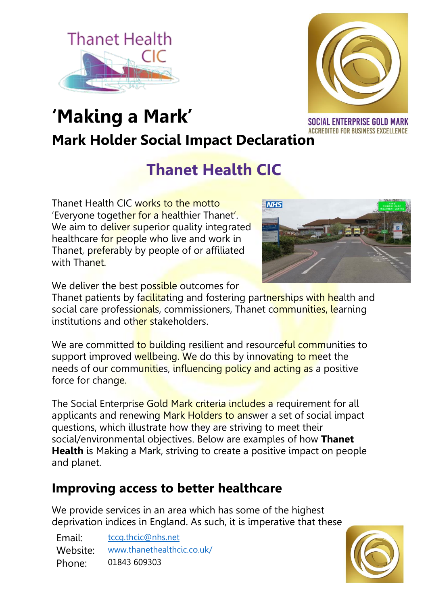



# **'Making a Mark' Mark Holder Social Impact Declaration**

**SOCIAL ENTERPRISE GOLD MARK ACCREDITED FOR BUSINESS EXCELLENCE** 

## **Thanet Health CIC**

Thanet Health CIC works to the motto 'Everyone together for a healthier Thanet'. We aim to deliver superior quality integrated healthcare for people who live and work in Thanet, preferably by people of or affiliated with Thanet



We deliver the best possible outcomes for

Thanet patients by facilitating and fostering partnerships with health and social care professionals, commissioners, Thanet communities, learning institutions and other stakeholders.

We are committed to building resilient and resourceful communities to support improved wellbeing. We do this by innovating to meet the needs of our communities, influencing policy and acting as a positive force for change.

The Social Enterprise Gold Mark criteria includes a requirement for all applicants and renewing Mark Holders to answer a set of social impact questions, which illustrate how they are striving to meet their social/environmental objectives. Below are examples of how **Thanet Health** is Making a Mark, striving to create a positive impact on people and planet.

### **Improving access to better healthcare**

We provide services in an area which has some of the highest deprivation indices in England. As such, it is imperative that these

Email: [tccg.thcic@nhs.net](mailto:tccg.thcic@nhs.net) Website: [www.thanethealthcic.co.uk/](https://www.thanethealthcic.co.uk/) Phone: 01843 609303